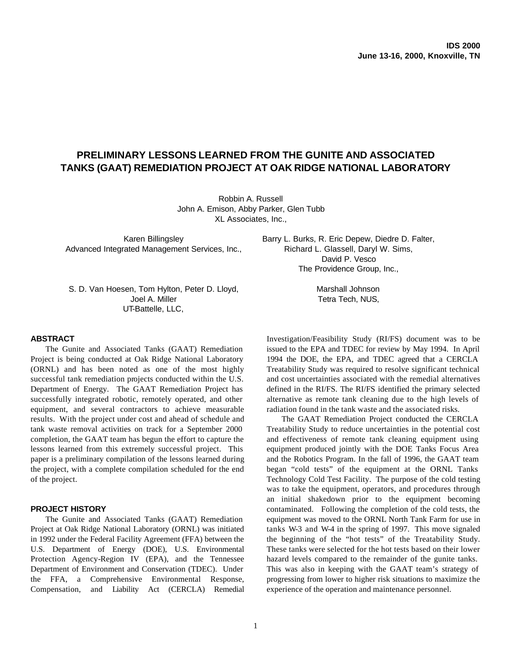# **PRELIMINARY LESSONS LEARNED FROM THE GUNITE AND ASSOCIATED TANKS (GAAT) REMEDIATION PROJECT AT OAK RIDGE NATIONAL LABORATORY**

Robbin A. Russell John A. Emison, Abby Parker, Glen Tubb XL Associates, Inc.,

Karen Billingsley Advanced Integrated Management Services, Inc., Barry L. Burks, R. Eric Depew, Diedre D. Falter, Richard L. Glassell, Daryl W. Sims, David P. Vesco The Providence Group, Inc.,

S. D. Van Hoesen, Tom Hylton, Peter D. Lloyd, Joel A. Miller UT-Battelle, LLC,

#### **ABSTRACT**

The Gunite and Associated Tanks (GAAT) Remediation Project is being conducted at Oak Ridge National Laboratory (ORNL) and has been noted as one of the most highly successful tank remediation projects conducted within the U.S. Department of Energy. The GAAT Remediation Project has successfully integrated robotic, remotely operated, and other equipment, and several contractors to achieve measurable results. With the project under cost and ahead of schedule and tank waste removal activities on track for a September 2000 completion, the GAAT team has begun the effort to capture the lessons learned from this extremely successful project. This paper is a preliminary compilation of the lessons learned during the project, with a complete compilation scheduled for the end of the project.

### **PROJECT HISTORY**

The Gunite and Associated Tanks (GAAT) Remediation Project at Oak Ridge National Laboratory (ORNL) was initiated in 1992 under the Federal Facility Agreement (FFA) between the U.S. Department of Energy (DOE), U.S. Environmental Protection Agency-Region IV (EPA), and the Tennessee Department of Environment and Conservation (TDEC). Under the FFA, a Comprehensive Environmental Response, Compensation, and Liability Act (CERCLA) Remedial Marshall Johnson Tetra Tech, NUS,

Investigation/Feasibility Study (RI/FS) document was to be issued to the EPA and TDEC for review by May 1994. In April 1994 the DOE, the EPA, and TDEC agreed that a CERCLA Treatability Study was required to resolve significant technical and cost uncertainties associated with the remedial alternatives defined in the RI/FS. The RI/FS identified the primary selected alternative as remote tank cleaning due to the high levels of radiation found in the tank waste and the associated risks.

The GAAT Remediation Project conducted the CERCLA Treatability Study to reduce uncertainties in the potential cost and effectiveness of remote tank cleaning equipment using equipment produced jointly with the DOE Tanks Focus Area and the Robotics Program. In the fall of 1996, the GAAT team began "cold tests" of the equipment at the ORNL Tanks Technology Cold Test Facility. The purpose of the cold testing was to take the equipment, operators, and procedures through an initial shakedown prior to the equipment becoming contaminated. Following the completion of the cold tests, the equipment was moved to the ORNL North Tank Farm for use in tanks W-3 and W-4 in the spring of 1997. This move signaled the beginning of the "hot tests" of the Treatability Study. These tanks were selected for the hot tests based on their lower hazard levels compared to the remainder of the gunite tanks. This was also in keeping with the GAAT team's strategy of progressing from lower to higher risk situations to maximize the experience of the operation and maintenance personnel.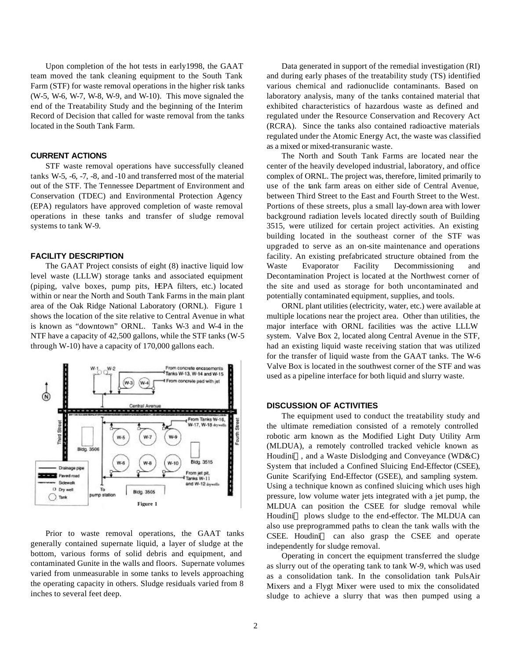Upon completion of the hot tests in early1998, the GAAT team moved the tank cleaning equipment to the South Tank Farm (STF) for waste removal operations in the higher risk tanks (W-5, W-6, W-7, W-8, W-9, and W-10). This move signaled the end of the Treatability Study and the beginning of the Interim Record of Decision that called for waste removal from the tanks located in the South Tank Farm.

### **CURRENT ACTIONS**

STF waste removal operations have successfully cleaned tanks W-5, -6, -7, -8, and -10 and transferred most of the material out of the STF. The Tennessee Department of Environment and Conservation (TDEC) and Environmental Protection Agency (EPA) regulators have approved completion of waste removal operations in these tanks and transfer of sludge removal systems to tank W-9.

#### **FACILITY DESCRIPTION**

The GAAT Project consists of eight (8) inactive liquid low level waste (LLLW) storage tanks and associated equipment (piping, valve boxes, pump pits, HEPA filters, etc.) located within or near the North and South Tank Farms in the main plant area of the Oak Ridge National Laboratory (ORNL). Figure 1 shows the location of the site relative to Central Avenue in what is known as "downtown" ORNL. Tanks W-3 and W-4 in the NTF have a capacity of 42,500 gallons, while the STF tanks (W-5 through W-10) have a capacity of 170,000 gallons each.



Prior to waste removal operations, the GAAT tanks generally contained supernate liquid, a layer of sludge at the bottom, various forms of solid debris and equipment, and contaminated Gunite in the walls and floors. Supernate volumes varied from unmeasurable in some tanks to levels approaching the operating capacity in others. Sludge residuals varied from 8 inches to several feet deep.

Data generated in support of the remedial investigation (RI) and during early phases of the treatability study (TS) identified various chemical and radionuclide contaminants. Based on laboratory analysis, many of the tanks contained material that exhibited characteristics of hazardous waste as defined and regulated under the Resource Conservation and Recovery Act (RCRA). Since the tanks also contained radioactive materials regulated under the Atomic Energy Act, the waste was classified as a mixed or mixed-transuranic waste.

The North and South Tank Farms are located near the center of the heavily developed industrial, laboratory, and office complex of ORNL. The project was, therefore, limited primarily to use of the tank farm areas on either side of Central Avenue, between Third Street to the East and Fourth Street to the West. Portions of these streets, plus a small lay-down area with lower background radiation levels located directly south of Building 3515, were utilized for certain project activities. An existing building located in the southeast corner of the STF was upgraded to serve as an on-site maintenance and operations facility. An existing prefabricated structure obtained from the Waste Evaporator Facility Decommissioning and Decontamination Project is located at the Northwest corner of the site and used as storage for both uncontaminated and potentially contaminated equipment, supplies, and tools.

ORNL plant utilities (electricity, water, etc.) were available at multiple locations near the project area. Other than utilities, the major interface with ORNL facilities was the active LLLW system. Valve Box 2, located along Central Avenue in the STF, had an existing liquid waste receiving station that was utilized for the transfer of liquid waste from the GAAT tanks. The W-6 Valve Box is located in the southwest corner of the STF and was used as a pipeline interface for both liquid and slurry waste.

### **DISCUSSION OF ACTIVITIES**

The equipment used to conduct the treatability study and the ultimate remediation consisted of a remotely controlled robotic arm known as the Modified Light Duty Utility Arm (MLDUA), a remotely controlled tracked vehicle known as Houdini<sup>TM</sup>, and a Waste Dislodging and Conveyance (WD&C) System that included a Confined Sluicing End-Effector (CSEE), Gunite Scarifying End-Effector (GSEE), and sampling system. Using a technique known as confined sluicing which uses high pressure, low volume water jets integrated with a jet pump, the MLDUA can position the CSEE for sludge removal while Houdini<sup>™</sup> plows sludge to the end-effector. The MLDUA can also use preprogrammed paths to clean the tank walls with the  $CSEE$ . Houdini<sup>TM</sup> can also grasp the CSEE and operate independently for sludge removal.

Operating in concert the equipment transferred the sludge as slurry out of the operating tank to tank W-9, which was used as a consolidation tank. In the consolidation tank PulsAir Mixers and a Flygt Mixer were used to mix the consolidated sludge to achieve a slurry that was then pumped using a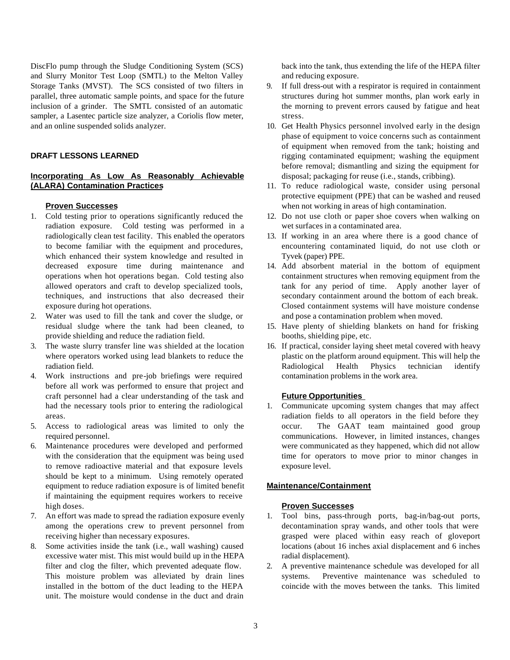DiscFlo pump through the Sludge Conditioning System (SCS) and Slurry Monitor Test Loop (SMTL) to the Melton Valley Storage Tanks (MVST). The SCS consisted of two filters in parallel, three automatic sample points, and space for the future inclusion of a grinder. The SMTL consisted of an automatic sampler, a Lasentec particle size analyzer, a Coriolis flow meter, and an online suspended solids analyzer.

# **DRAFT LESSONS LEARNED**

# **Incorporating As Low As Reasonably Achievable (ALARA) Contamination Practices**

#### **Proven Successes**

- 1. Cold testing prior to operations significantly reduced the radiation exposure. Cold testing was performed in a radiologically clean test facility. This enabled the operators to become familiar with the equipment and procedures, which enhanced their system knowledge and resulted in decreased exposure time during maintenance and operations when hot operations began. Cold testing also allowed operators and craft to develop specialized tools, techniques, and instructions that also decreased their exposure during hot operations.
- 2. Water was used to fill the tank and cover the sludge, or residual sludge where the tank had been cleaned, to provide shielding and reduce the radiation field.
- 3. The waste slurry transfer line was shielded at the location where operators worked using lead blankets to reduce the radiation field.
- 4. Work instructions and pre-job briefings were required before all work was performed to ensure that project and craft personnel had a clear understanding of the task and had the necessary tools prior to entering the radiological areas.
- 5. Access to radiological areas was limited to only the required personnel.
- 6. Maintenance procedures were developed and performed with the consideration that the equipment was being used to remove radioactive material and that exposure levels should be kept to a minimum. Using remotely operated equipment to reduce radiation exposure is of limited benefit if maintaining the equipment requires workers to receive high doses.
- 7. An effort was made to spread the radiation exposure evenly among the operations crew to prevent personnel from receiving higher than necessary exposures.
- 8. Some activities inside the tank (i.e., wall washing) caused excessive water mist. This mist would build up in the HEPA filter and clog the filter, which prevented adequate flow. This moisture problem was alleviated by drain lines installed in the bottom of the duct leading to the HEPA unit. The moisture would condense in the duct and drain

back into the tank, thus extending the life of the HEPA filter and reducing exposure.

- 9. If full dress-out with a respirator is required in containment structures during hot summer months, plan work early in the morning to prevent errors caused by fatigue and heat stress.
- 10. Get Health Physics personnel involved early in the design phase of equipment to voice concerns such as containment of equipment when removed from the tank; hoisting and rigging contaminated equipment; washing the equipment before removal; dismantling and sizing the equipment for disposal; packaging for reuse (i.e., stands, cribbing).
- 11. To reduce radiological waste, consider using personal protective equipment (PPE) that can be washed and reused when not working in areas of high contamination.
- 12. Do not use cloth or paper shoe covers when walking on wet surfaces in a contaminated area.
- 13. If working in an area where there is a good chance of encountering contaminated liquid, do not use cloth or Tyvek (paper) PPE.
- 14. Add absorbent material in the bottom of equipment containment structures when removing equipment from the tank for any period of time. Apply another layer of secondary containment around the bottom of each break. Closed containment systems will have moisture condense and pose a contamination problem when moved.
- 15. Have plenty of shielding blankets on hand for frisking booths, shielding pipe, etc.
- 16. If practical, consider laying sheet metal covered with heavy plastic on the platform around equipment. This will help the Radiological Health Physics technician identify contamination problems in the work area.

# **Future Opportunities**

1. Communicate upcoming system changes that may affect radiation fields to all operators in the field before they occur. The GAAT team maintained good group communications. However, in limited instances, changes were communicated as they happened, which did not allow time for operators to move prior to minor changes in exposure level.

# **Maintenance/Containment**

- 1. Tool bins, pass-through ports, bag-in/bag-out ports, decontamination spray wands, and other tools that were grasped were placed within easy reach of gloveport locations (about 16 inches axial displacement and 6 inches radial displacement).
- 2. A preventive maintenance schedule was developed for all systems. Preventive maintenance was scheduled to coincide with the moves between the tanks. This limited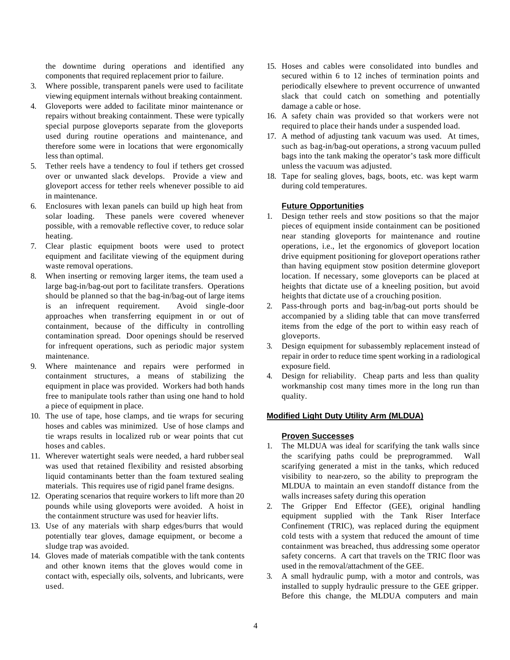the downtime during operations and identified any components that required replacement prior to failure.

- 3. Where possible, transparent panels were used to facilitate viewing equipment internals without breaking containment.
- 4. Gloveports were added to facilitate minor maintenance or repairs without breaking containment. These were typically special purpose gloveports separate from the gloveports used during routine operations and maintenance, and therefore some were in locations that were ergonomically less than optimal.
- 5. Tether reels have a tendency to foul if tethers get crossed over or unwanted slack develops. Provide a view and gloveport access for tether reels whenever possible to aid in maintenance.
- 6. Enclosures with lexan panels can build up high heat from solar loading. These panels were covered whenever possible, with a removable reflective cover, to reduce solar heating.
- 7. Clear plastic equipment boots were used to protect equipment and facilitate viewing of the equipment during waste removal operations.
- 8. When inserting or removing larger items, the team used a large bag-in/bag-out port to facilitate transfers. Operations should be planned so that the bag-in/bag-out of large items is an infrequent requirement. Avoid single-door approaches when transferring equipment in or out of containment, because of the difficulty in controlling contamination spread. Door openings should be reserved for infrequent operations, such as periodic major system maintenance.
- 9. Where maintenance and repairs were performed in containment structures, a means of stabilizing the equipment in place was provided. Workers had both hands free to manipulate tools rather than using one hand to hold a piece of equipment in place.
- 10. The use of tape, hose clamps, and tie wraps for securing hoses and cables was minimized. Use of hose clamps and tie wraps results in localized rub or wear points that cut hoses and cables.
- 11. Wherever watertight seals were needed, a hard rubber seal was used that retained flexibility and resisted absorbing liquid contaminants better than the foam textured sealing materials. This requires use of rigid panel frame designs.
- 12. Operating scenarios that require workers to lift more than 20 pounds while using gloveports were avoided. A hoist in the containment structure was used for heavier lifts.
- 13. Use of any materials with sharp edges/burrs that would potentially tear gloves, damage equipment, or become a sludge trap was avoided.
- 14. Gloves made of materials compatible with the tank contents and other known items that the gloves would come in contact with, especially oils, solvents, and lubricants, were used.
- 15. Hoses and cables were consolidated into bundles and secured within 6 to 12 inches of termination points and periodically elsewhere to prevent occurrence of unwanted slack that could catch on something and potentially damage a cable or hose.
- 16. A safety chain was provided so that workers were not required to place their hands under a suspended load.
- 17. A method of adjusting tank vacuum was used. At times, such as bag-in/bag-out operations, a strong vacuum pulled bags into the tank making the operator's task more difficult unless the vacuum was adjusted.
- 18. Tape for sealing gloves, bags, boots, etc. was kept warm during cold temperatures.

# **Future Opportunities**

- 1. Design tether reels and stow positions so that the major pieces of equipment inside containment can be positioned near standing gloveports for maintenance and routine operations, i.e., let the ergonomics of gloveport location drive equipment positioning for gloveport operations rather than having equipment stow position determine gloveport location. If necessary, some gloveports can be placed at heights that dictate use of a kneeling position, but avoid heights that dictate use of a crouching position.
- 2. Pass-through ports and bag-in/bag-out ports should be accompanied by a sliding table that can move transferred items from the edge of the port to within easy reach of gloveports.
- 3. Design equipment for subassembly replacement instead of repair in order to reduce time spent working in a radiological exposure field.
- 4. Design for reliability. Cheap parts and less than quality workmanship cost many times more in the long run than quality.

### **Modified Light Duty Utility Arm (MLDUA)**

- 1. The MLDUA was ideal for scarifying the tank walls since the scarifying paths could be preprogrammed. Wall scarifying generated a mist in the tanks, which reduced visibility to near-zero, so the ability to preprogram the MLDUA to maintain an even standoff distance from the walls increases safety during this operation
- 2. The Gripper End Effector (GEE), original handling equipment supplied with the Tank Riser Interface Confinement (TRIC), was replaced during the equipment cold tests with a system that reduced the amount of time containment was breached, thus addressing some operator safety concerns. A cart that travels on the TRIC floor was used in the removal/attachment of the GEE.
- 3. A small hydraulic pump, with a motor and controls, was installed to supply hydraulic pressure to the GEE gripper. Before this change, the MLDUA computers and main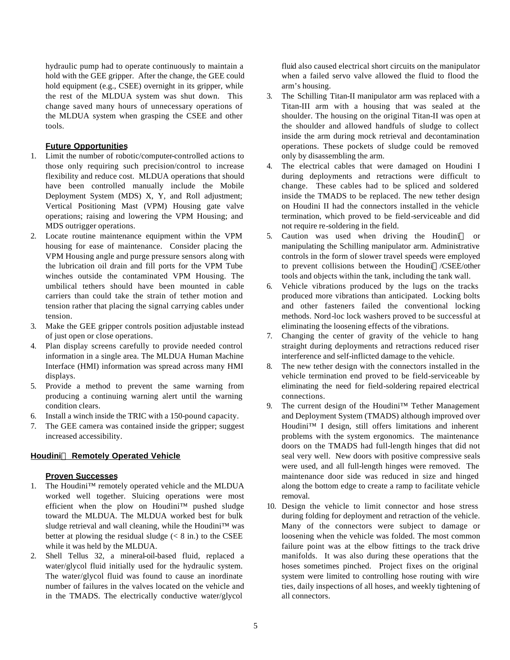hydraulic pump had to operate continuously to maintain a hold with the GEE gripper. After the change, the GEE could hold equipment (e.g., CSEE) overnight in its gripper, while the rest of the MLDUA system was shut down. This change saved many hours of unnecessary operations of the MLDUA system when grasping the CSEE and other tools.

# **Future Opportunities**

- 1. Limit the number of robotic/computer-controlled actions to those only requiring such precision/control to increase flexibility and reduce cost. MLDUA operations that should have been controlled manually include the Mobile Deployment System (MDS) X, Y, and Roll adjustment; Vertical Positioning Mast (VPM) Housing gate valve operations; raising and lowering the VPM Housing; and MDS outrigger operations.
- 2. Locate routine maintenance equipment within the VPM housing for ease of maintenance. Consider placing the VPM Housing angle and purge pressure sensors along with the lubrication oil drain and fill ports for the VPM Tube winches outside the contaminated VPM Housing. The umbilical tethers should have been mounted in cable carriers than could take the strain of tether motion and tension rather that placing the signal carrying cables under tension.
- 3. Make the GEE gripper controls position adjustable instead of just open or close operations.
- 4. Plan display screens carefully to provide needed control information in a single area. The MLDUA Human Machine Interface (HMI) information was spread across many HMI displays.
- 5. Provide a method to prevent the same warning from producing a continuing warning alert until the warning condition clears.
- 6. Install a winch inside the TRIC with a 150-pound capacity.
- 7. The GEE camera was contained inside the gripper; suggest increased accessibility.

# **HoudiniÔ Remotely Operated Vehicle**

# **Proven Successes**

- 1. The Houdini™ remotely operated vehicle and the MLDUA worked well together. Sluicing operations were most efficient when the plow on Houdini™ pushed sludge toward the MLDUA. The MLDUA worked best for bulk sludge retrieval and wall cleaning, while the Houdini™ was better at plowing the residual sludge  $(< 8$  in.) to the CSEE while it was held by the MLDUA.
- 2. Shell Tellus 32, a mineral-oil-based fluid, replaced a water/glycol fluid initially used for the hydraulic system. The water/glycol fluid was found to cause an inordinate number of failures in the valves located on the vehicle and in the TMADS. The electrically conductive water/glycol

fluid also caused electrical short circuits on the manipulator when a failed servo valve allowed the fluid to flood the arm's housing.

- 3. The Schilling Titan-II manipulator arm was replaced with a Titan-III arm with a housing that was sealed at the shoulder. The housing on the original Titan-II was open at the shoulder and allowed handfuls of sludge to collect inside the arm during mock retrieval and decontamination operations. These pockets of sludge could be removed only by disassembling the arm.
- 4. The electrical cables that were damaged on Houdini I during deployments and retractions were difficult to change. These cables had to be spliced and soldered inside the TMADS to be replaced. The new tether design on Houdini II had the connectors installed in the vehicle termination, which proved to be field-serviceable and did not require re-soldering in the field.
- 5. Caution was used when driving the Houdini<sup>™</sup> or manipulating the Schilling manipulator arm. Administrative controls in the form of slower travel speeds were employed to prevent collisions between the Houdini™/CSEE/other tools and objects within the tank, including the tank wall.
- 6. Vehicle vibrations produced by the lugs on the tracks produced more vibrations than anticipated. Locking bolts and other fasteners failed the conventional locking methods. Nord-loc lock washers proved to be successful at eliminating the loosening effects of the vibrations.
- 7. Changing the center of gravity of the vehicle to hang straight during deployments and retractions reduced riser interference and self-inflicted damage to the vehicle.
- 8. The new tether design with the connectors installed in the vehicle termination end proved to be field-serviceable by eliminating the need for field-soldering repaired electrical connections.
- 9. The current design of the Houdini™ Tether Management and Deployment System (TMADS) although improved over Houdini™ I design, still offers limitations and inherent problems with the system ergonomics. The maintenance doors on the TMADS had full-length hinges that did not seal very well. New doors with positive compressive seals were used, and all full-length hinges were removed. The maintenance door side was reduced in size and hinged along the bottom edge to create a ramp to facilitate vehicle removal.
- 10. Design the vehicle to limit connector and hose stress during folding for deployment and retraction of the vehicle. Many of the connectors were subject to damage or loosening when the vehicle was folded. The most common failure point was at the elbow fittings to the track drive manifolds. It was also during these operations that the hoses sometimes pinched. Project fixes on the original system were limited to controlling hose routing with wire ties, daily inspections of all hoses, and weekly tightening of all connectors.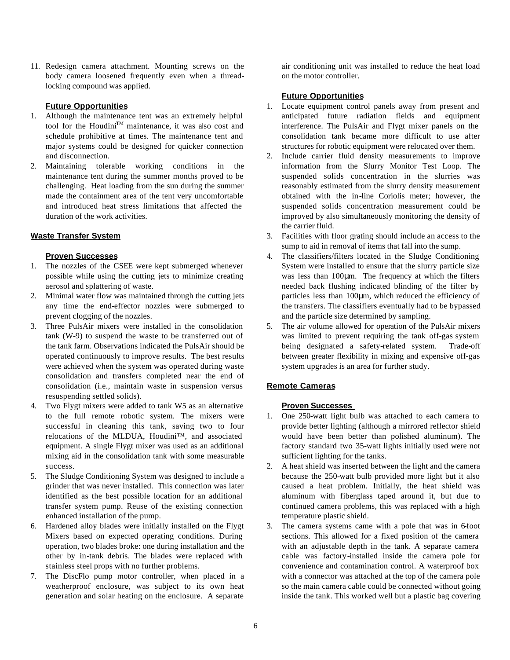11. Redesign camera attachment. Mounting screws on the body camera loosened frequently even when a threadlocking compound was applied.

# **Future Opportunities**

- 1. Although the maintenance tent was an extremely helpful tool for the Houdini<sup>™</sup> maintenance, it was also cost and schedule prohibitive at times. The maintenance tent and major systems could be designed for quicker connection and disconnection.
- 2. Maintaining tolerable working conditions in the maintenance tent during the summer months proved to be challenging. Heat loading from the sun during the summer made the containment area of the tent very uncomfortable and introduced heat stress limitations that affected the duration of the work activities.

# **Waste Transfer System**

### **Proven Successes**

- 1. The nozzles of the CSEE were kept submerged whenever possible while using the cutting jets to minimize creating aerosol and splattering of waste.
- 2. Minimal water flow was maintained through the cutting jets any time the end-effector nozzles were submerged to prevent clogging of the nozzles.
- 3. Three PulsAir mixers were installed in the consolidation tank (W-9) to suspend the waste to be transferred out of the tank farm. Observations indicated the PulsAir should be operated continuously to improve results. The best results were achieved when the system was operated during waste consolidation and transfers completed near the end of consolidation (i.e., maintain waste in suspension versus resuspending settled solids).
- 4. Two Flygt mixers were added to tank W5 as an alternative to the full remote robotic system. The mixers were successful in cleaning this tank, saving two to four relocations of the MLDUA, Houdini™, and associated equipment. A single Flygt mixer was used as an additional mixing aid in the consolidation tank with some measurable success.
- 5. The Sludge Conditioning System was designed to include a grinder that was never installed. This connection was later identified as the best possible location for an additional transfer system pump. Reuse of the existing connection enhanced installation of the pump.
- 6. Hardened alloy blades were initially installed on the Flygt Mixers based on expected operating conditions. During operation, two blades broke: one during installation and the other by in-tank debris. The blades were replaced with stainless steel props with no further problems.
- 7. The DiscFlo pump motor controller, when placed in a weatherproof enclosure, was subject to its own heat generation and solar heating on the enclosure. A separate

air conditioning unit was installed to reduce the heat load on the motor controller.

### **Future Opportunities**

- 1. Locate equipment control panels away from present and anticipated future radiation fields and equipment interference. The PulsAir and Flygt mixer panels on the consolidation tank became more difficult to use after structures for robotic equipment were relocated over them.
- 2. Include carrier fluid density measurements to improve information from the Slurry Monitor Test Loop. The suspended solids concentration in the slurries was reasonably estimated from the slurry density measurement obtained with the in-line Coriolis meter; however, the suspended solids concentration measurement could be improved by also simultaneously monitoring the density of the carrier fluid.
- 3. Facilities with floor grating should include an access to the sump to aid in removal of items that fall into the sump.
- 4. The classifiers/filters located in the Sludge Conditioning System were installed to ensure that the slurry particle size was less than 100μm. The frequency at which the filters needed back flushing indicated blinding of the filter by particles less than 100μm, which reduced the efficiency of the transfers. The classifiers eventually had to be bypassed and the particle size determined by sampling.
- 5. The air volume allowed for operation of the PulsAir mixers was limited to prevent requiring the tank off-gas system being designated a safety-related system. Trade-off between greater flexibility in mixing and expensive off-gas system upgrades is an area for further study.

### **Remote Cameras**

- 1. One 250-watt light bulb was attached to each camera to provide better lighting (although a mirrored reflector shield would have been better than polished aluminum). The factory standard two 35-watt lights initially used were not sufficient lighting for the tanks.
- 2. A heat shield was inserted between the light and the camera because the 250-watt bulb provided more light but it also caused a heat problem. Initially, the heat shield was aluminum with fiberglass taped around it, but due to continued camera problems, this was replaced with a high temperature plastic shield.
- 3. The camera systems came with a pole that was in 6-foot sections. This allowed for a fixed position of the camera with an adjustable depth in the tank. A separate camera cable was factory-installed inside the camera pole for convenience and contamination control. A waterproof box with a connector was attached at the top of the camera pole so the main camera cable could be connected without going inside the tank. This worked well but a plastic bag covering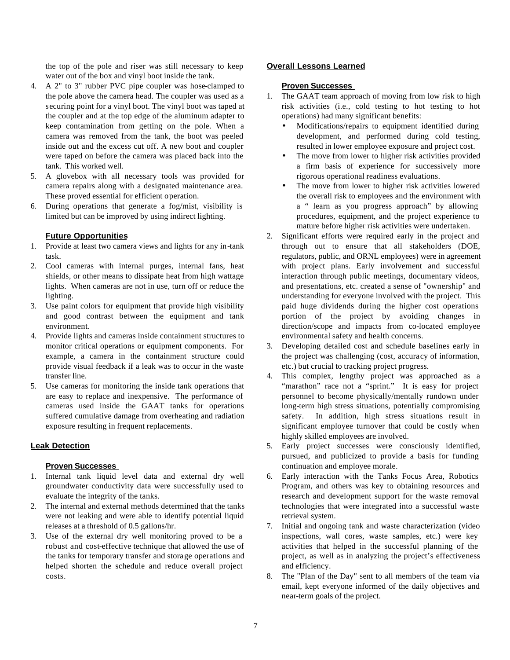the top of the pole and riser was still necessary to keep water out of the box and vinyl boot inside the tank.

- 4. A 2" to 3" rubber PVC pipe coupler was hose-clamped to the pole above the camera head. The coupler was used as a securing point for a vinyl boot. The vinyl boot was taped at the coupler and at the top edge of the aluminum adapter to keep contamination from getting on the pole. When a camera was removed from the tank, the boot was peeled inside out and the excess cut off. A new boot and coupler were taped on before the camera was placed back into the tank. This worked well.
- 5. A glovebox with all necessary tools was provided for camera repairs along with a designated maintenance area. These proved essential for efficient operation.
- 6. During operations that generate a fog/mist, visibility is limited but can be improved by using indirect lighting.

### **Future Opportunities**

- 1. Provide at least two camera views and lights for any in-tank task.
- 2. Cool cameras with internal purges, internal fans, heat shields, or other means to dissipate heat from high wattage lights. When cameras are not in use, turn off or reduce the lighting.
- 3. Use paint colors for equipment that provide high visibility and good contrast between the equipment and tank environment.
- 4. Provide lights and cameras inside containment structures to monitor critical operations or equipment components. For example, a camera in the containment structure could provide visual feedback if a leak was to occur in the waste transfer line.
- 5. Use cameras for monitoring the inside tank operations that are easy to replace and inexpensive. The performance of cameras used inside the GAAT tanks for operations suffered cumulative damage from overheating and radiation exposure resulting in frequent replacements.

### **Leak Detection**

### **Proven Successes**

- 1. Internal tank liquid level data and external dry well groundwater conductivity data were successfully used to evaluate the integrity of the tanks.
- 2. The internal and external methods determined that the tanks were not leaking and were able to identify potential liquid releases at a threshold of 0.5 gallons/hr.
- 3. Use of the external dry well monitoring proved to be a robust and cost-effective technique that allowed the use of the tanks for temporary transfer and storage operations and helped shorten the schedule and reduce overall project costs.

#### **Overall Lessons Learned**

- 1. The GAAT team approach of moving from low risk to high risk activities (i.e., cold testing to hot testing to hot operations) had many significant benefits:
	- Modifications/repairs to equipment identified during development, and performed during cold testing, resulted in lower employee exposure and project cost.
	- The move from lower to higher risk activities provided a firm basis of experience for successively more rigorous operational readiness evaluations.
	- The move from lower to higher risk activities lowered the overall risk to employees and the environment with a " learn as you progress approach" by allowing procedures, equipment, and the project experience to mature before higher risk activities were undertaken.
- 2. Significant efforts were required early in the project and through out to ensure that all stakeholders (DOE, regulators, public, and ORNL employees) were in agreement with project plans. Early involvement and successful interaction through public meetings, documentary videos, and presentations, etc. created a sense of "ownership" and understanding for everyone involved with the project. This paid huge dividends during the higher cost operations portion of the project by avoiding changes in direction/scope and impacts from co-located employee environmental safety and health concerns.
- 3. Developing detailed cost and schedule baselines early in the project was challenging (cost, accuracy of information, etc.) but crucial to tracking project progress.
- 4. This complex, lengthy project was approached as a "marathon" race not a "sprint." It is easy for project personnel to become physically/mentally rundown under long-term high stress situations, potentially compromising safety. In addition, high stress situations result in significant employee turnover that could be costly when highly skilled employees are involved.
- 5. Early project successes were consciously identified, pursued, and publicized to provide a basis for funding continuation and employee morale.
- 6. Early interaction with the Tanks Focus Area, Robotics Program, and others was key to obtaining resources and research and development support for the waste removal technologies that were integrated into a successful waste retrieval system.
- 7. Initial and ongoing tank and waste characterization (video inspections, wall cores, waste samples, etc.) were key activities that helped in the successful planning of the project, as well as in analyzing the project's effectiveness and efficiency.
- 8. The "Plan of the Day" sent to all members of the team via email, kept everyone informed of the daily objectives and near-term goals of the project.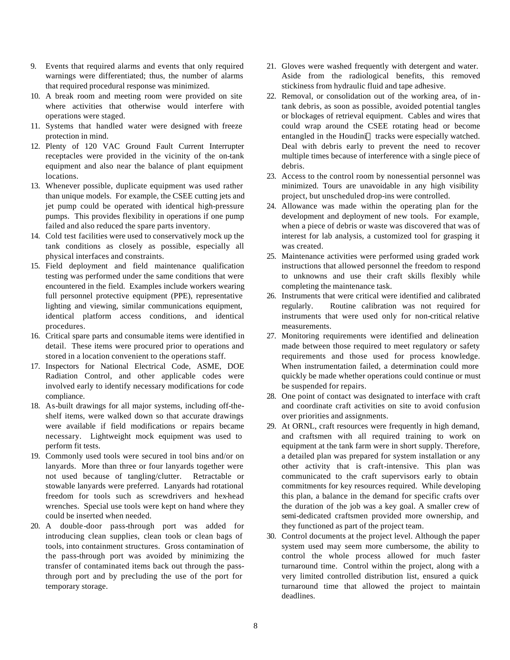- 9. Events that required alarms and events that only required warnings were differentiated; thus, the number of alarms that required procedural response was minimized.
- 10. A break room and meeting room were provided on site where activities that otherwise would interfere with operations were staged.
- 11. Systems that handled water were designed with freeze protection in mind.
- 12. Plenty of 120 VAC Ground Fault Current Interrupter receptacles were provided in the vicinity of the on-tank equipment and also near the balance of plant equipment locations.
- 13. Whenever possible, duplicate equipment was used rather than unique models. For example, the CSEE cutting jets and jet pump could be operated with identical high-pressure pumps. This provides flexibility in operations if one pump failed and also reduced the spare parts inventory.
- 14. Cold test facilities were used to conservatively mock up the tank conditions as closely as possible, especially all physical interfaces and constraints.
- 15. Field deployment and field maintenance qualification testing was performed under the same conditions that were encountered in the field. Examples include workers wearing full personnel protective equipment (PPE), representative lighting and viewing, similar communications equipment, identical platform access conditions, and identical procedures.
- 16. Critical spare parts and consumable items were identified in detail. These items were procured prior to operations and stored in a location convenient to the operations staff.
- 17. Inspectors for National Electrical Code, ASME, DOE Radiation Control, and other applicable codes were involved early to identify necessary modifications for code compliance.
- 18. As-built drawings for all major systems, including off-theshelf items, were walked down so that accurate drawings were available if field modifications or repairs became necessary. Lightweight mock equipment was used to perform fit tests.
- 19. Commonly used tools were secured in tool bins and/or on lanyards. More than three or four lanyards together were not used because of tangling/clutter. Retractable or stowable lanyards were preferred. Lanyards had rotational freedom for tools such as screwdrivers and hex-head wrenches. Special use tools were kept on hand where they could be inserted when needed.
- 20. A double-door pass-through port was added for introducing clean supplies, clean tools or clean bags of tools, into containment structures. Gross contamination of the pass-through port was avoided by minimizing the transfer of contaminated items back out through the passthrough port and by precluding the use of the port for temporary storage.
- 21. Gloves were washed frequently with detergent and water. Aside from the radiological benefits, this removed stickiness from hydraulic fluid and tape adhesive.
- 22. Removal, or consolidation out of the working area, of intank debris, as soon as possible, avoided potential tangles or blockages of retrieval equipment. Cables and wires that could wrap around the CSEE rotating head or become entangled in the Houdini™ tracks were especially watched. Deal with debris early to prevent the need to recover multiple times because of interference with a single piece of debris.
- 23. Access to the control room by nonessential personnel was minimized. Tours are unavoidable in any high visibility project, but unscheduled drop-ins were controlled.
- 24. Allowance was made within the operating plan for the development and deployment of new tools. For example, when a piece of debris or waste was discovered that was of interest for lab analysis, a customized tool for grasping it was created.
- 25. Maintenance activities were performed using graded work instructions that allowed personnel the freedom to respond to unknowns and use their craft skills flexibly while completing the maintenance task.
- 26. Instruments that were critical were identified and calibrated regularly. Routine calibration was not required for instruments that were used only for non-critical relative measurements.
- 27. Monitoring requirements were identified and delineation made between those required to meet regulatory or safety requirements and those used for process knowledge. When instrumentation failed, a determination could more quickly be made whether operations could continue or must be suspended for repairs.
- 28. One point of contact was designated to interface with craft and coordinate craft activities on site to avoid confusion over priorities and assignments.
- 29. At ORNL, craft resources were frequently in high demand, and craftsmen with all required training to work on equipment at the tank farm were in short supply. Therefore, a detailed plan was prepared for system installation or any other activity that is craft-intensive. This plan was communicated to the craft supervisors early to obtain commitments for key resources required. While developing this plan, a balance in the demand for specific crafts over the duration of the job was a key goal. A smaller crew of semi-dedicated craftsmen provided more ownership, and they functioned as part of the project team.
- 30. Control documents at the project level. Although the paper system used may seem more cumbersome, the ability to control the whole process allowed for much faster turnaround time. Control within the project, along with a very limited controlled distribution list, ensured a quick turnaround time that allowed the project to maintain deadlines.